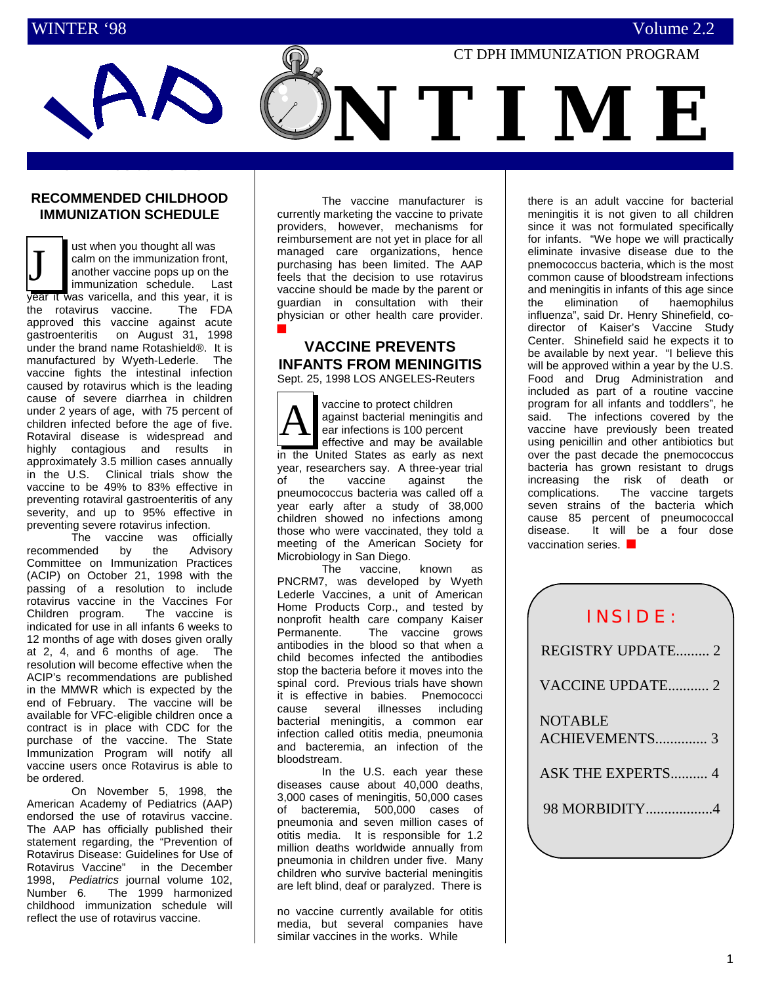

## **RECOMMENDED CHILDHOOD IMMUNIZATION SCHEDULE**

**ROTAVIRUS JOINS U.S.**

ust when you thought all was calm on the immunization front, another vaccine pops up on the immunization schedule. Last year it was varicella, and this year, it is<br>the rotavirus vaccine. The FDA the rotavirus vaccine. approved this vaccine against acute gastroenteritis on August 31, 1998 under the brand name Rotashield®. It is manufactured by Wyeth-Lederle. The vaccine fights the intestinal infection caused by rotavirus which is the leading cause of severe diarrhea in children under 2 years of age, with 75 percent of children infected before the age of five. Rotaviral disease is widespread and highly contagious and results in approximately 3.5 million cases annually in the U.S. Clinical trials show the vaccine to be 49% to 83% effective in preventing rotaviral gastroenteritis of any severity, and up to 95% effective in preventing severe rotavirus infection. J

The vaccine was officially recommended by the Advisory Committee on Immunization Practices (ACIP) on October 21, 1998 with the passing of a resolution to include rotavirus vaccine in the Vaccines For Children program. The vaccine is indicated for use in all infants 6 weeks to 12 months of age with doses given orally at 2, 4, and 6 months of age. The resolution will become effective when the ACIP's recommendations are published in the MMWR which is expected by the end of February. The vaccine will be available for VFC-eligible children once a contract is in place with CDC for the purchase of the vaccine. The State Immunization Program will notify all vaccine users once Rotavirus is able to be ordered.

On November 5, 1998, the American Academy of Pediatrics (AAP) endorsed the use of rotavirus vaccine. The AAP has officially published their statement regarding, the "Prevention of Rotavirus Disease: Guidelines for Use of Rotavirus Vaccine" in the December 1998, *Pediatrics* journal volume 102, Number 6*.* The 1999 harmonized childhood immunization schedule will reflect the use of rotavirus vaccine.

The vaccine manufacturer is currently marketing the vaccine to private providers, however, mechanisms for reimbursement are not yet in place for all managed care organizations, hence purchasing has been limited. The AAP feels that the decision to use rotavirus vaccine should be made by the parent or guardian in consultation with their physician or other health care provider. ■

# **VACCINE PREVENTS INFANTS FROM MENINGITIS**

Sept. 25, 1998 LOS ANGELES-Reuters

vaccine to protect children against bacterial meningitis and ear infections is 100 percent effective and may be available in the United States as early as next year, researchers say. A three-year trial<br>of the vaccine against the of the vaccine pneumococcus bacteria was called off a year early after a study of 38,000 children showed no infections among those who were vaccinated, they told a meeting of the American Society for Microbiology in San Diego. A

The vaccine, known as PNCRM7, was developed by Wyeth Lederle Vaccines, a unit of American Home Products Corp., and tested by nonprofit health care company Kaiser<br>Permanente. The vaccine grows The vaccine grows antibodies in the blood so that when a child becomes infected the antibodies stop the bacteria before it moves into the spinal cord. Previous trials have shown it is effective in babies. Pnemococci cause several illnesses including bacterial meningitis, a common ear infection called otitis media, pneumonia and bacteremia, an infection of the bloodstream.

In the U.S. each year these diseases cause about 40,000 deaths, 3,000 cases of meningitis, 50,000 cases of bacteremia, 500,000 cases of pneumonia and seven million cases of otitis media. It is responsible for 1.2 million deaths worldwide annually from pneumonia in children under five. Many children who survive bacterial meningitis are left blind, deaf or paralyzed. There is

no vaccine currently available for otitis media, but several companies have similar vaccines in the works. While

there is an adult vaccine for bacterial meningitis it is not given to all children since it was not formulated specifically for infants. "We hope we will practically eliminate invasive disease due to the pnemococcus bacteria, which is the most common cause of bloodstream infections and meningitis in infants of this age since the elimination of haemophilus influenza", said Dr. Henry Shinefield, codirector of Kaiser's Vaccine Study Center. Shinefield said he expects it to be available by next year. "I believe this will be approved within a year by the U.S. Food and Drug Administration and included as part of a routine vaccine program for all infants and toddlers", he said. The infections covered by the vaccine have previously been treated using penicillin and other antibiotics but over the past decade the pnemococcus bacteria has grown resistant to drugs increasing the risk of death or complications. The vaccine targets seven strains of the bacteria which cause 85 percent of pneumococcal disease. It will be a four dose vaccination series. ■

| INSIDE:                          |
|----------------------------------|
| <b>REGISTRY UPDATE 2</b>         |
| VACCINE UPDATE 2                 |
| <b>NOTABLE</b><br>ACHIEVEMENTS 3 |
| ASK THE EXPERTS 4                |
| 98 MORBIDITY4                    |
|                                  |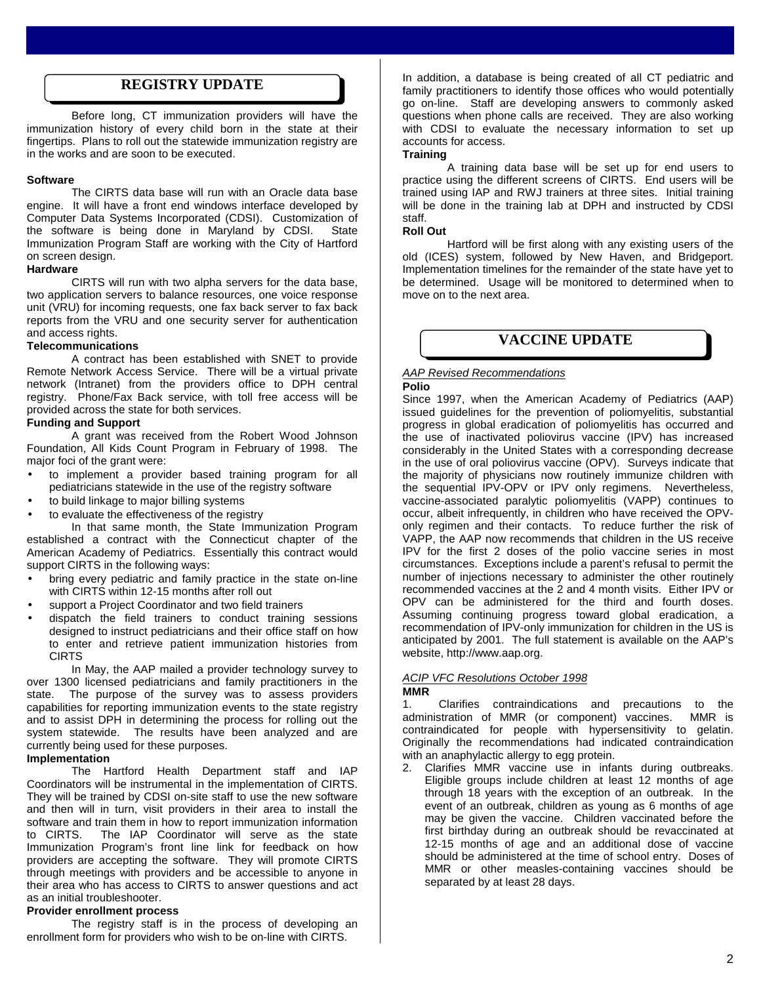# **REGISTRY UPDATE**

Before long, CT immunization providers will have the immunization history of every child born in the state at their fingertips. Plans to roll out the statewide immunization registry are in the works and are soon to be executed.

#### **Software**

The CIRTS data base will run with an Oracle data base engine. It will have a front end windows interface developed by Computer Data Systems Incorporated (CDSI). Customization of the software is being done in Maryland by CDSI. State Immunization Program Staff are working with the City of Hartford on screen design.

#### **Hardware**

CIRTS will run with two alpha servers for the data base, two application servers to balance resources, one voice response unit (VRU) for incoming requests, one fax back server to fax back reports from the VRU and one security server for authentication and access rights.

#### **Telecommunications**

A contract has been established with SNET to provide Remote Network Access Service. There will be a virtual private network (Intranet) from the providers office to DPH central registry. Phone/Fax Back service, with toll free access will be provided across the state for both services.

#### **Funding and Support**

A grant was received from the Robert Wood Johnson Foundation, All Kids Count Program in February of 1998. The major foci of the grant were:

- to implement a provider based training program for all pediatricians statewide in the use of the registry software
- to build linkage to major billing systems
- to evaluate the effectiveness of the registry

In that same month, the State Immunization Program established a contract with the Connecticut chapter of the American Academy of Pediatrics. Essentially this contract would support CIRTS in the following ways:

- bring every pediatric and family practice in the state on-line with CIRTS within 12-15 months after roll out
- support a Project Coordinator and two field trainers
- dispatch the field trainers to conduct training sessions designed to instruct pediatricians and their office staff on how to enter and retrieve patient immunization histories from **CIRTS**

In May, the AAP mailed a provider technology survey to over 1300 licensed pediatricians and family practitioners in the state. The purpose of the survey was to assess providers capabilities for reporting immunization events to the state registry and to assist DPH in determining the process for rolling out the system statewide. The results have been analyzed and are currently being used for these purposes.

## **Implementation**

The Hartford Health Department staff and IAP Coordinators will be instrumental in the implementation of CIRTS. They will be trained by CDSI on-site staff to use the new software and then will in turn, visit providers in their area to install the software and train them in how to report immunization information<br>to CIRTS. The IAP Coordinator will serve as the state The IAP Coordinator will serve as the state Immunization Program's front line link for feedback on how providers are accepting the software. They will promote CIRTS through meetings with providers and be accessible to anyone in their area who has access to CIRTS to answer questions and act as an initial troubleshooter.

#### **Provider enrollment process**

The registry staff is in the process of developing an enrollment form for providers who wish to be on-line with CIRTS.

In addition, a database is being created of all CT pediatric and family practitioners to identify those offices who would potentially go on-line. Staff are developing answers to commonly asked questions when phone calls are received. They are also working with CDSI to evaluate the necessary information to set up accounts for access.

#### **Training**

A training data base will be set up for end users to practice using the different screens of CIRTS. End users will be trained using IAP and RWJ trainers at three sites. Initial training will be done in the training lab at DPH and instructed by CDSI staff.

## **Roll Out**

Hartford will be first along with any existing users of the old (ICES) system, followed by New Haven, and Bridgeport. Implementation timelines for the remainder of the state have yet to be determined. Usage will be monitored to determined when to move on to the next area.

# **VACCINE UPDATE**

# *AAP Revised Recommendations*

#### **Polio**

Since 1997, when the American Academy of Pediatrics (AAP) issued guidelines for the prevention of poliomyelitis, substantial progress in global eradication of poliomyelitis has occurred and the use of inactivated poliovirus vaccine (IPV) has increased considerably in the United States with a corresponding decrease in the use of oral poliovirus vaccine (OPV). Surveys indicate that the majority of physicians now routinely immunize children with the sequential IPV-OPV or IPV only regimens. Nevertheless, vaccine-associated paralytic poliomyelitis (VAPP) continues to occur, albeit infrequently, in children who have received the OPVonly regimen and their contacts. To reduce further the risk of VAPP, the AAP now recommends that children in the US receive IPV for the first 2 doses of the polio vaccine series in most circumstances. Exceptions include a parent's refusal to permit the number of injections necessary to administer the other routinely recommended vaccines at the 2 and 4 month visits. Either IPV or OPV can be administered for the third and fourth doses. Assuming continuing progress toward global eradication, a recommendation of IPV-only immunization for children in the US is anticipated by 2001. The full statement is available on the AAP's website, http://www.aap.org.

## *ACIP VFC Resolutions October 1998*

## **MMR**

1. Clarifies contraindications and precautions to the administration of MMR (or component) vaccines. contraindicated for people with hypersensitivity to gelatin. Originally the recommendations had indicated contraindication with an anaphylactic allergy to egg protein.

2. Clarifies MMR vaccine use in infants during outbreaks. Eligible groups include children at least 12 months of age through 18 years with the exception of an outbreak. In the event of an outbreak, children as young as 6 months of age may be given the vaccine. Children vaccinated before the first birthday during an outbreak should be revaccinated at 12-15 months of age and an additional dose of vaccine should be administered at the time of school entry. Doses of MMR or other measles-containing vaccines should be separated by at least 28 days.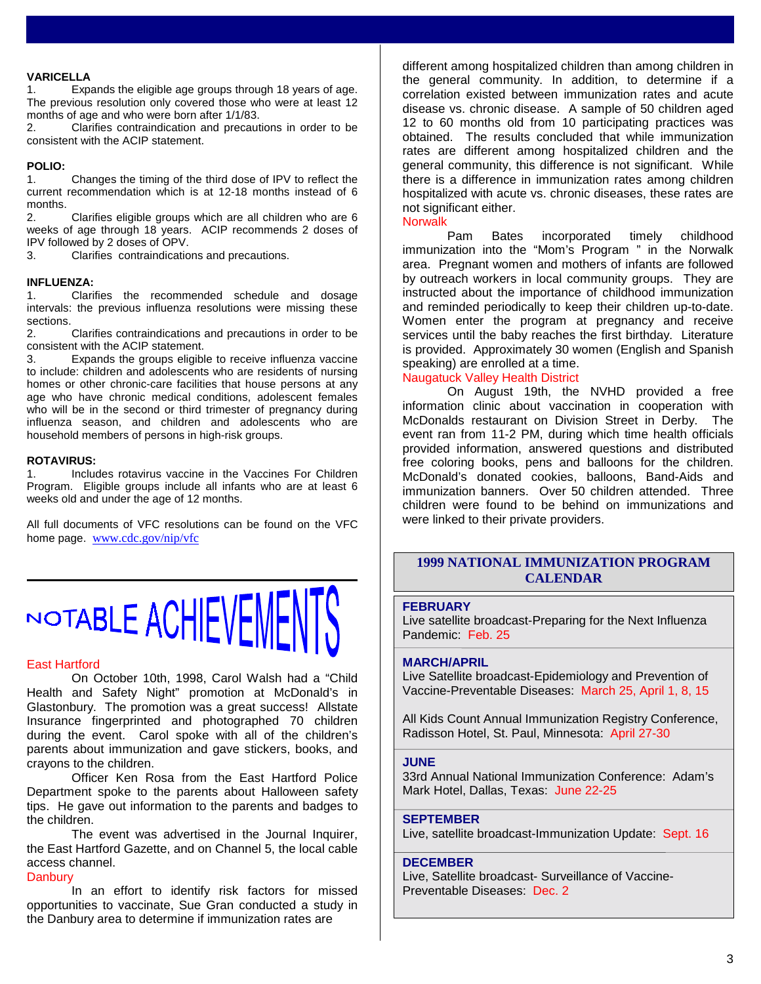## **VARICELLA**

1. Expands the eligible age groups through 18 years of age. The previous resolution only covered those who were at least 12 months of age and who were born after 1/1/83.

2. Clarifies contraindication and precautions in order to be consistent with the ACIP statement.

## **POLIO:**

1. Changes the timing of the third dose of IPV to reflect the current recommendation which is at 12-18 months instead of 6 months.<br>2.

2. Clarifies eligible groups which are all children who are 6 weeks of age through 18 years. ACIP recommends 2 doses of IPV followed by 2 doses of OPV.

3. Clarifies contraindications and precautions.

## **INFLUENZA:**

1. Clarifies the recommended schedule and dosage intervals: the previous influenza resolutions were missing these sections.

2. Clarifies contraindications and precautions in order to be consistent with the ACIP statement.

3. Expands the groups eligible to receive influenza vaccine to include: children and adolescents who are residents of nursing homes or other chronic-care facilities that house persons at any age who have chronic medical conditions, adolescent females who will be in the second or third trimester of pregnancy during influenza season, and children and adolescents who are household members of persons in high-risk groups.

#### **ROTAVIRUS:**

1. Includes rotavirus vaccine in the Vaccines For Children Program. Eligible groups include all infants who are at least 6 weeks old and under the age of 12 months.

All full documents of VFC resolutions can be found on the VFC home page. www.cdc.gov/nip/vfc



#### East Hartford

On October 10th, 1998, Carol Walsh had a "Child Health and Safety Night" promotion at McDonald's in Glastonbury. The promotion was a great success! Allstate Insurance fingerprinted and photographed 70 children during the event. Carol spoke with all of the children's parents about immunization and gave stickers, books, and crayons to the children.

Officer Ken Rosa from the East Hartford Police Department spoke to the parents about Halloween safety tips. He gave out information to the parents and badges to the children.

The event was advertised in the Journal Inquirer, the East Hartford Gazette, and on Channel 5, the local cable access channel.

## **Danbury**

In an effort to identify risk factors for missed opportunities to vaccinate, Sue Gran conducted a study in the Danbury area to determine if immunization rates are

different among hospitalized children than among children in the general community. In addition, to determine if a correlation existed between immunization rates and acute disease vs. chronic disease. A sample of 50 children aged 12 to 60 months old from 10 participating practices was obtained. The results concluded that while immunization rates are different among hospitalized children and the general community, this difference is not significant. While there is a difference in immunization rates among children hospitalized with acute vs. chronic diseases, these rates are not significant either.

## **Norwalk**

Pam Bates incorporated timely childhood immunization into the "Mom's Program " in the Norwalk area. Pregnant women and mothers of infants are followed by outreach workers in local community groups. They are instructed about the importance of childhood immunization and reminded periodically to keep their children up-to-date. Women enter the program at pregnancy and receive services until the baby reaches the first birthday. Literature is provided. Approximately 30 women (English and Spanish speaking) are enrolled at a time.

## Naugatuck Valley Health District

On August 19th, the NVHD provided a free information clinic about vaccination in cooperation with McDonalds restaurant on Division Street in Derby. The event ran from 11-2 PM, during which time health officials provided information, answered questions and distributed free coloring books, pens and balloons for the children. McDonald's donated cookies, balloons, Band-Aids and immunization banners. Over 50 children attended. Three children were found to be behind on immunizations and were linked to their private providers.

# **1999 NATIONAL IMMUNIZATION PROGRAM CALENDAR**

#### **FEBRUARY**

Live satellite broadcast-Preparing for the Next Influenza Pandemic: Feb. 25

## **MARCH/APRIL**

Live Satellite broadcast-Epidemiology and Prevention of Vaccine-Preventable Diseases: March 25, April 1, 8, 15

All Kids Count Annual Immunization Registry Conference, Radisson Hotel, St. Paul, Minnesota: April 27-30

## **JUNE**

33rd Annual National Immunization Conference: Adam's Mark Hotel, Dallas, Texas: June 22-25

## **SEPTEMBER**

Live, satellite broadcast-Immunization Update: Sept. 16

## **DECEMBER**

Live, Satellite broadcast- Surveillance of Vaccine-Preventable Diseases: Dec. 2